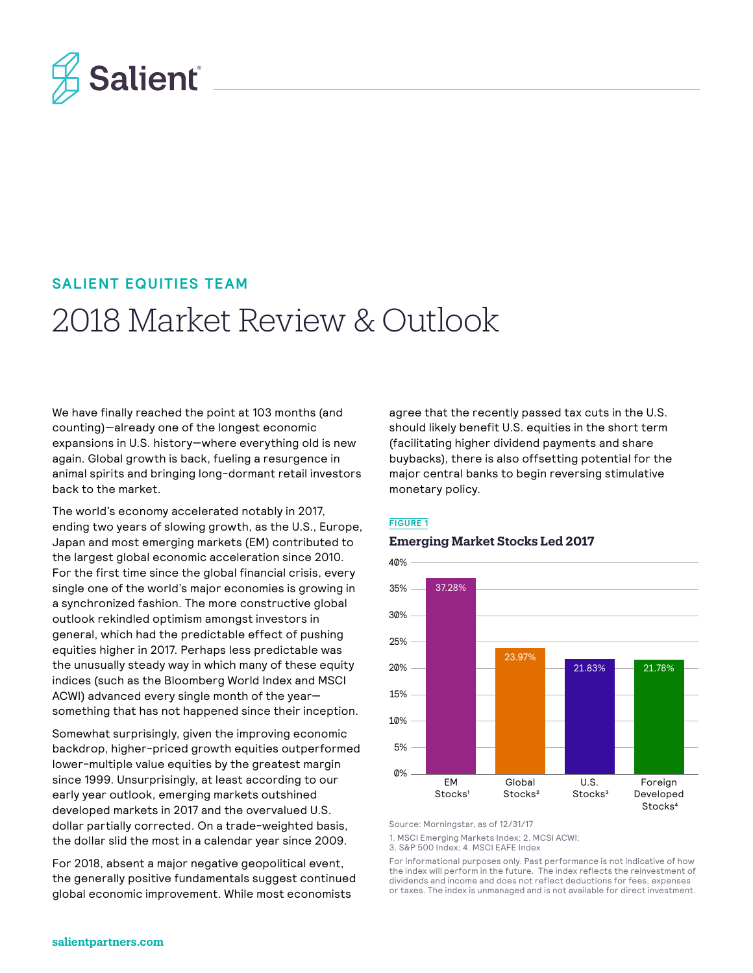

### **SALIENT EQUITIES TEAM**

# 2018 Market Review & Outlook

We have finally reached the point at 103 months (and counting)—already one of the longest economic expansions in U.S. history—where everything old is new again. Global growth is back, fueling a resurgence in animal spirits and bringing long-dormant retail investors back to the market.

The world's economy accelerated notably in 2017, ending two years of slowing growth, as the U.S., Europe, Japan and most emerging markets (EM) contributed to the largest global economic acceleration since 2010. For the first time since the global financial crisis, every single one of the world's major economies is growing in a synchronized fashion. The more constructive global outlook rekindled optimism amongst investors in general, which had the predictable effect of pushing equities higher in 2017. Perhaps less predictable was the unusually steady way in which many of these equity indices (such as the Bloomberg World Index and MSCI ACWI) advanced every single month of the year something that has not happened since their inception.

Somewhat surprisingly, given the improving economic backdrop, higher-priced growth equities outperformed lower-multiple value equities by the greatest margin since 1999. Unsurprisingly, at least according to our early year outlook, emerging markets outshined developed markets in 2017 and the overvalued U.S. dollar partially corrected. On a trade-weighted basis, the dollar slid the most in a calendar year since 2009.

For 2018, absent a major negative geopolitical event, the generally positive fundamentals suggest continued global economic improvement. While most economists

agree that the recently passed tax cuts in the U.S. should likely benefit U.S. equities in the short term (facilitating higher dividend payments and share buybacks), there is also offsetting potential for the major central banks to begin reversing stimulative monetary policy.

#### **FIGURE 1**

#### **Emerging Market Stocks Led 2017**



Source: Morningstar, as of 12/31/17

1. MSCI Emerging Markets Index; 2. MCSI ACWI;

3. S&P 500 Index; 4. MSCI EAFE Index

For informational purposes only. Past performance is not indicative of how the index will perform in the future. The index reflects the reinvestment of dividends and income and does not reflect deductions for fees, expenses or taxes. The index is unmanaged and is not available for direct investment.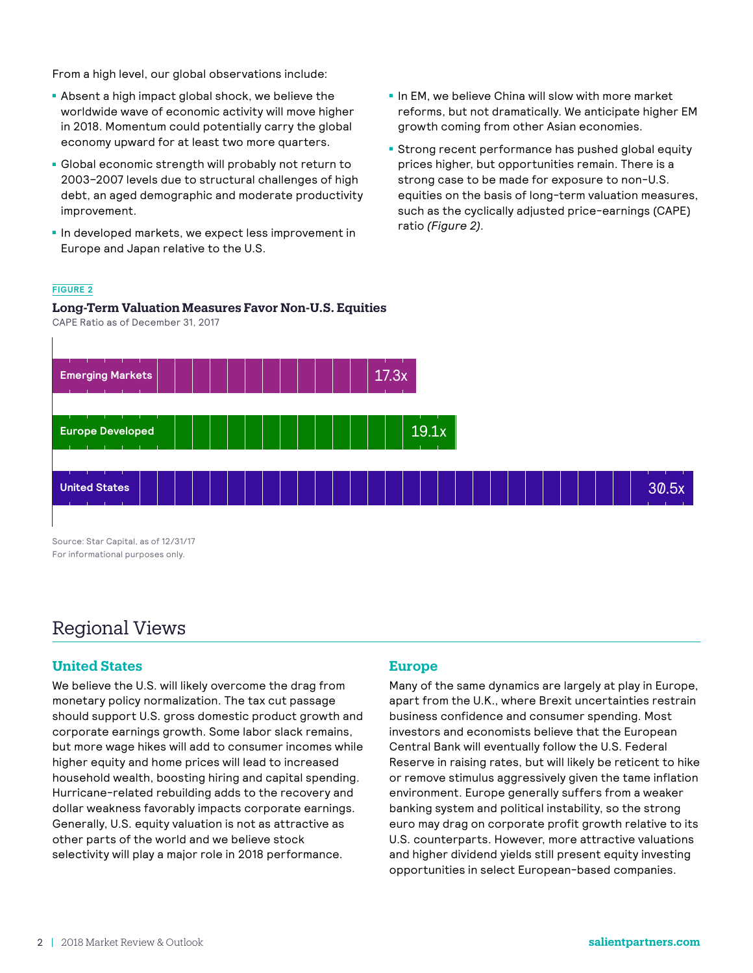From a high level, our global observations include:

- **Absent a high impact global shock, we believe the** worldwide wave of economic activity will move higher in 2018. Momentum could potentially carry the global economy upward for at least two more quarters.
- Global economic strength will probably not return to 2003–2007 levels due to structural challenges of high debt, an aged demographic and moderate productivity improvement.
- In developed markets, we expect less improvement in Europe and Japan relative to the U.S.
- In EM, we believe China will slow with more market reforms, but not dramatically. We anticipate higher EM growth coming from other Asian economies.
- **Strong recent performance has pushed global equity** prices higher, but opportunities remain. There is a strong case to be made for exposure to non-U.S. equities on the basis of long-term valuation measures, such as the cyclically adjusted price-earnings (CAPE) ratio *(Figure 2)*.

#### **FIGURE 2**

**Long-Term Valuation Measures Favor Non-U.S. Equities** CAPE Ratio as of December 31, 2017



## Regional Views

### **United States**

We believe the U.S. will likely overcome the drag from monetary policy normalization. The tax cut passage should support U.S. gross domestic product growth and corporate earnings growth. Some labor slack remains, but more wage hikes will add to consumer incomes while higher equity and home prices will lead to increased household wealth, boosting hiring and capital spending. Hurricane-related rebuilding adds to the recovery and dollar weakness favorably impacts corporate earnings. Generally, U.S. equity valuation is not as attractive as other parts of the world and we believe stock selectivity will play a major role in 2018 performance.

#### **Europe**

Many of the same dynamics are largely at play in Europe, apart from the U.K., where Brexit uncertainties restrain business confidence and consumer spending. Most investors and economists believe that the European Central Bank will eventually follow the U.S. Federal Reserve in raising rates, but will likely be reticent to hike or remove stimulus aggressively given the tame inflation environment. Europe generally suffers from a weaker banking system and political instability, so the strong euro may drag on corporate profit growth relative to its U.S. counterparts. However, more attractive valuations and higher dividend yields still present equity investing opportunities in select European-based companies.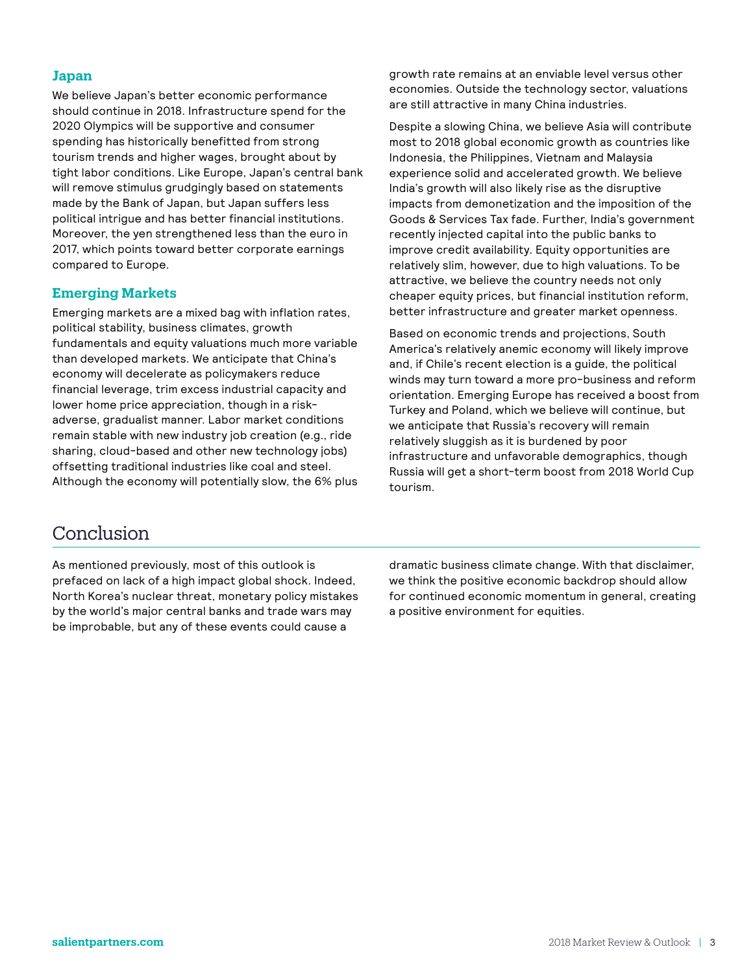#### **Japan**

We believe Japan's better economic performance should continue in 2018. Infrastructure spend for the 2020 Olympics will be supportive and consumer spending has historically benefitted from strong tourism trends and higher wages, brought about by tight labor conditions. Like Europe, Japan's central bank will remove stimulus grudgingly based on statements made by the Bank of Japan, but Japan suffers less political intrigue and has better financial institutions. Moreover, the yen strengthened less than the euro in 2017, which points toward better corporate earnings compared to Europe.

#### **Emerging Markets**

Emerging markets are a mixed bag with inflation rates, political stability, business climates, growth fundamentals and equity valuations much more variable than developed markets. We anticipate that China's economy will decelerate as policymakers reduce financial leverage, trim excess industrial capacity and lower home price appreciation, though in a riskadverse, gradualist manner. Labor market conditions remain stable with new industry job creation (e.g., ride sharing, cloud-based and other new technology jobs) offsetting traditional industries like coal and steel. Although the economy will potentially slow, the 6% plus growth rate remains at an enviable level versus other economies. Outside the technology sector, valuations are still attractive in many China industries.

Despite a slowing China, we believe Asia will contribute most to 2018 global economic growth as countries like Indonesia, the Philippines, Vietnam and Malaysia experience solid and accelerated growth. We believe India's growth will also likely rise as the disruptive impacts from demonetization and the imposition of the Goods & Services Tax fade. Further, India's government recently injected capital into the public banks to improve credit availability. Equity opportunities are relatively slim, however, due to high valuations. To be attractive, we believe the country needs not only cheaper equity prices, but financial institution reform, better infrastructure and greater market openness.

Based on economic trends and projections, South America's relatively anemic economy will likely improve and, if Chile's recent election is a guide, the political winds may turn toward a more pro-business and reform orientation. Emerging Europe has received a boost from Turkey and Poland, which we believe will continue, but we anticipate that Russia's recovery will remain relatively sluggish as it is burdened by poor infrastructure and unfavorable demographics, though Russia will get a short-term boost from 2018 World Cup tourism.

## Conclusion

As mentioned previously, most of this outlook is prefaced on lack of a high impact global shock. Indeed, North Korea's nuclear threat, monetary policy mistakes by the world's major central banks and trade wars may be improbable, but any of these events could cause a

dramatic business climate change. With that disclaimer, we think the positive economic backdrop should allow for continued economic momentum in general, creating a positive environment for equities.